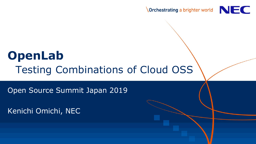

# **OpenLab** Testing Combinations of Cloud OSS

Open Source Summit Japan 2019

Kenichi Omichi, NEC

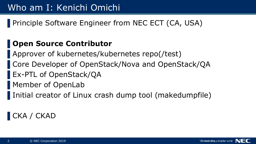▌Principle Software Engineer from NEC ECT (CA, USA)

#### ▌**Open Source Contributor**

▌Approver of kubernetes/kubernetes repo(/test)

- ▌Core Developer of OpenStack/Nova and OpenStack/QA
- ▌Ex-PTL of OpenStack/QA
- ▌Member of OpenLab
	- Initial creator of Linux crash dump tool (makedumpfile)

## CKA / CKAD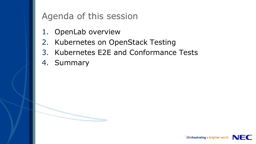#### Agenda of this session

- 1. OpenLab overview
- 2. Kubernetes on OpenStack Testing
- 3. Kubernetes E2E and Conformance Tests
- 4. Summary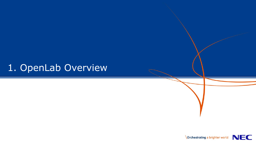## 1. OpenLab Overview

**NEC** 

**Orchestrating a brighter world**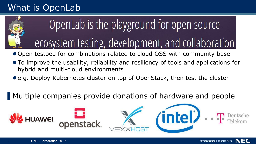## What is OpenLab



# OpenLab is the playground for open source ecosystem testing, development, and collaboration

● Open testbed for combinations related to cloud OSS with community base

- To improve the usability, reliability and resiliency of tools and applications for hybrid and multi-cloud environments
- e.g. Deploy Kubernetes cluster on top of OpenStack, then test the cluster

▌Multiple companies provide donations of hardware and people

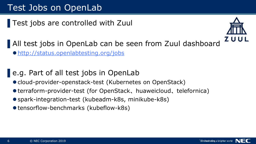Test jobs are controlled with Zuul



▌All test jobs in OpenLab can be seen from Zuul dashboard

<http://status.openlabtesting.org/jobs>

#### ▌e.g. Part of all test jobs in OpenLab

- cloud-provider-openstack-test (Kubernetes on OpenStack)
- terraform-provider-test (for OpenStack、huaweicloud、telefornica)
- spark-integration-test (kubeadm-k8s, minikube-k8s)
- tensorflow-benchmarks (kubeflow-k8s)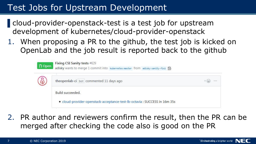#### Test Jobs for Upstream Development

▌cloud-provider-openstack-test is a test job for upstream development of kubernetes/cloud-provider-openstack

1. When proposing a PR to the github, the test job is kicked on OpenLab and the job result is reported back to the github

| n Open | Fixing CSI Sanity tests #629<br>adisky wants to merge 1 commit into kubernetes:master from adisky:sanity-fix2 配 |     |
|--------|-----------------------------------------------------------------------------------------------------------------|-----|
| (စု)   | theopenlab-ci bot commented 11 days ago                                                                         | 888 |
|        | Build succeeded.<br>· cloud-provider-openstack-acceptance-test-lb-octavia : SUCCESS in 16m 35s                  |     |

2. PR author and reviewers confirm the result, then the PR can be merged after checking the code also is good on the PR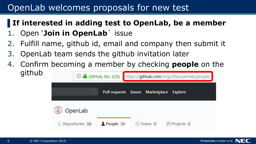#### OpenLab welcomes proposals for new test

#### ▌**If interested in adding test to OpenLab, be a member**

- 1. Open '**Join in OpenLab**` issue
- Fulfill name, github id, email and company then submit it
- 3. OpenLab team sends the github invitation later
- 4. Confirm becoming a member by checking **people** on the github

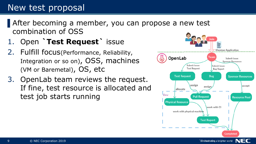#### New test proposal

After becoming a member, you can propose a new test combination of OSS

- 1. Open **`Test Request`** issue
- 2. Fulfill focus(Performance, Reliability, Integration or so on), OSS, machines (VM or Baremetal), OS, etc
- 3. OpenLab team reviews the request. If fine, test resource is allocated and test job starts running



Orchestrating a brighter world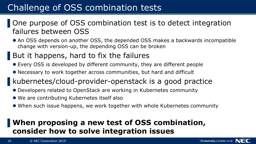#### Challenge of OSS combination tests

#### ▌One purpose of OSS combination test is to detect integration failures between OSS

- An OSS depends on another OSS, the depended OSS makes a backwards incompatible change with version-up, the depending OSS can be broken
- But it happens, hard to fix the failures
- Every OSS is developed by different community, they are different people
- Necessary to work together across communities, but hard and difficult
- kubernetes/cloud-provider-openstack is a good practice
- Developers related to OpenStack are working in Kubernetes community
- We are contributing Kubernetes itself also
- When such issue happens, we work together with whole Kubernetes community

#### ▌**When proposing a new test of OSS combination, consider how to solve integration issues**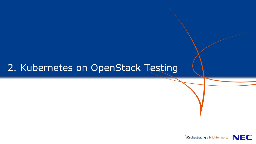#### 2. Kubernetes on OpenStack Testing

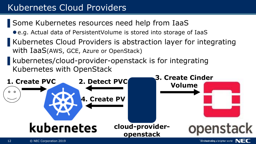## Kubernetes Cloud Providers

- ▌Some Kubernetes resources need help from IaaS
	- e.g. Actual data of PersistentVolume is stored into storage of IaaS
- Kubernetes Cloud Providers is abstraction layer for integrating with IaaS(AWS, GCE, Azure or OpenStack)
- kubernetes/cloud-provider-openstack is for integrating Kubernetes with OpenStack

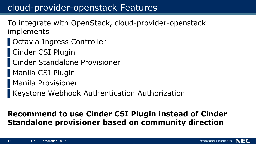#### cloud-provider-openstack Features

- To integrate with OpenStack, cloud-provider-openstack implements
- ▌Octavia Ingress Controller
- ▌Cinder CSI Plugin
- ▌Cinder Standalone Provisioner
- ▌Manila CSI Plugin
- ▌Manila Provisioner
- ▌Keystone Webhook Authentication Authorization

#### **Recommend to use Cinder CSI Plugin instead of Cinder Standalone provisioner based on community direction**

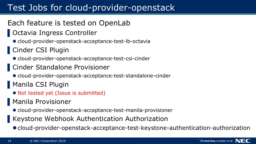## Test Jobs for cloud-provider-openstack

- Each feature is tested on OpenLab
- ▌Octavia Ingress Controller
	- cloud-provider-openstack-acceptance-test-lb-octavia
- ▌Cinder CSI Plugin
	- cloud-provider-openstack-acceptance-test-csi-cinder
- ▌Cinder Standalone Provisioner
	- cloud-provider-openstack-acceptance-test-standalone-cinder
- ▌Manila CSI Plugin
- Not tested yet (Issue is submitted)
- ▌Manila Provisioner
- cloud-provider-openstack-acceptance-test-manila-provisioner
- ▌Keystone Webhook Authentication Authorization
- cloud-provider-openstack-acceptance-test-keystone-authentication-authorization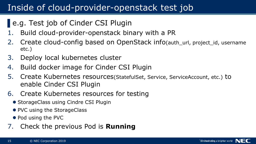### Inside of cloud-provider-openstack test job

- ▌e.g. Test job of Cinder CSI Plugin
- 1. Build cloud-provider-openstack binary with a PR
- 2. Create cloud-config based on OpenStack info(auth url, project id, username etc.)
- 3. Deploy local kubernetes cluster
- 4. Build docker image for Cinder CSI Plugin
- 5. Create Kubernetes resources(StatefulSet, Service, ServiceAccount, etc.) to enable Cinder CSI Plugin
- 6. Create Kubernetes resources for testing
	- StorageClass using Cindre CSI Plugin
	- PVC using the StorageClass
	- Pod using the PVC
- 7. Check the previous Pod is **Running**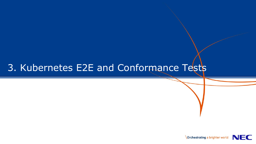## 3. Kubernetes E2E and Conformance Tests

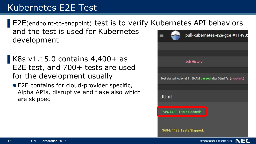## Kubernetes E2E Test

▌E2E(endpoint-to-endpoint) test is to verify Kubernetes API behaviors and the test is used for Kubernetes development

▌K8s v1.15.0 contains 4,400+ as E2E test, and 700+ tests are used for the development usually

E2E contains for cloud-provider specific, Alpha APIs, disruptive and flake also which are skipped



**Orchestrating a brighter world** 

NEC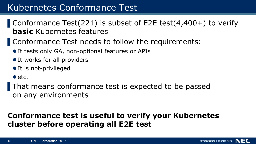#### Kubernetes Conformance Test

- ▌Conformance Test(221) is subset of E2E test(4,400+) to verify **basic** Kubernetes features
- ▌Conformance Test needs to follow the requirements:
	- It tests only GA, non-optional features or APIs
	- It works for all providers
	- It is not-privileged
	- $\bullet$  etc.
- That means conformance test is expected to be passed on any environments

#### **Conformance test is useful to verify your Kubernetes cluster before operating all E2E test**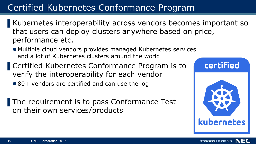## Certified Kubernetes Conformance Program

- Kubernetes interoperability across vendors becomes important so that users can deploy clusters anywhere based on price, performance etc.
- Multiple cloud vendors provides managed Kubernetes services and a lot of Kubernetes clusters around the world
- ▌Certified Kubernetes Conformance Program is to verify the interoperability for each vendor
	- 80+ vendors are certified and can use the log
- The requirement is to pass Conformance Test on their own services/products

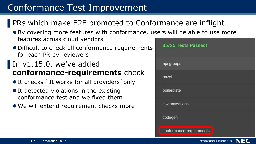## Conformance Test Improvement

#### ▌PRs which make E2E promoted to Conformance are inflight

- By covering more features with conformance, users will be able to use more features across cloud vendors
- Difficult to check all conformance requirements for each PR by reviewers

#### In  $v1.15.0$ , we've added **conformance-requirements** check

- It checks `It works for all providers `only
- **It detected violations in the existing** conformance test and we fixed them
- We will extend requirement checks more



Orchestrating a brighter world

NEO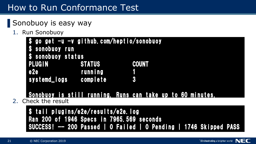## How to Run Conformance Test

## ▌Sonobuoy is easy way

1. Run Sonobuoy

| \$ go get -u -v github.com/heptio/sonobuoy |               |       |
|--------------------------------------------|---------------|-------|
| \$ sonobuoy run                            |               |       |
| \$ sonobuoy status                         |               |       |
| <b>PLUGIN</b>                              | <b>STATUS</b> | COUNT |
| e <sub>2e</sub>                            | running       |       |
| systemd_logs complete                      |               | R     |

#### Sonobuoy is still running. Runs can take up to 60 minutes.

2. Check the result

\$ tail plugins/e2e/results/e2e.log Ran 200 of 1946 Specs in 7965.569 seconds SUCCESS! -- 200 Passed | 0 Failed | 0 Pending | 1746 Skipped PASS

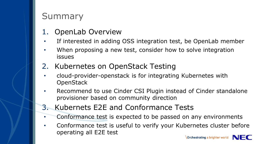#### Summary

- **OpenLab Overview**
- If interested in adding OSS integration test, be OpenLab member
- When proposing a new test, consider how to solve integration issues
- 2. Kubernetes on OpenStack Testing
- cloud-provider-openstack is for integrating Kubernetes with **OpenStack**
- Recommend to use Cinder CSI Plugin instead of Cinder standalone provisioner based on community direction
- 3. Kubernets E2E and Conformance Tests
- Conformance test is expected to be passed on any environments
- Conformance test is useful to verify your Kubernetes cluster before operating all E2E test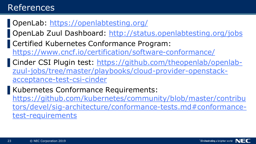#### References

- ▌OpenLab:<https://openlabtesting.org/>
- ▌OpenLab Zuul Dashboard:<http://status.openlabtesting.org/jobs>
- ▌Certified Kubernetes Conformance Program: <https://www.cncf.io/certification/software-conformance/>
- ▌[Cinder CSI Plugin test: https://github.com/theopenlab/openlab](https://github.com/theopenlab/openlab-zuul-jobs/tree/master/playbooks/cloud-provider-openstack-acceptance-test-csi-cinder)zuul-jobs/tree/master/playbooks/cloud-provider-openstackacceptance-test-csi-cinder

Kubernetes Conformance Requirements: https://github.com/kubernetes/community/blob/master/contribu [tors/devel/sig-architecture/conformance-tests.md#conformance](https://github.com/kubernetes/community/blob/master/contributors/devel/sig-architecture/conformance-tests.md#conformance-test-requirements)test-requirements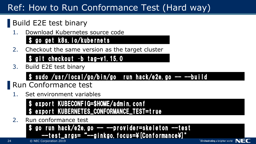## Ref: How to Run Conformance Test (Hard way)

## ▌Build E2E test binary

Download Kubernetes source code

#### \$ go get k8s.io/kubernets

2. Checkout the same version as the target cluster

#### \$ git checkout –b tag-v1.15.0

3. Build E2E test binary

## \$ sudo /usr/local/go/bin/go run hack/e2e.go -- --build

- Run Conformance test
- Set environment variables

export KUBECONFIG=\$HOME/admin.conf export KUBERNETES\_CONFORMANCE\_TEST=true

2. Run conformance test

go run hack/e2e.go -- --provider=skeleton --test --test\_args= "--ginkgo.focus=\[Conformance\]"